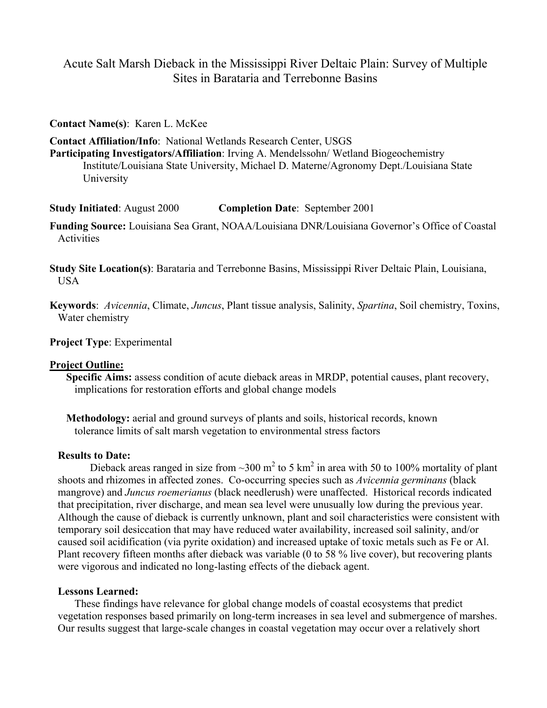# Acute Salt Marsh Dieback in the Mississippi River Deltaic Plain: Survey of Multiple Sites in Barataria and Terrebonne Basins

### **Contact Name(s)**: Karen L. McKee

**Contact Affiliation/Info**: National Wetlands Research Center, USGS **Participating Investigators/Affiliation**: Irving A. Mendelssohn/ Wetland Biogeochemistry Institute/Louisiana State University, Michael D. Materne/Agronomy Dept./Louisiana State University

**Study Initiated**: August 2000 **Completion Date**: September 2001

**Funding Source:** Louisiana Sea Grant, NOAA/Louisiana DNR/Louisiana Governor's Office of Coastal Activities

**Study Site Location(s)**: Barataria and Terrebonne Basins, Mississippi River Deltaic Plain, Louisiana, USA

**Keywords**: *Avicennia*, Climate, *Juncus*, Plant tissue analysis, Salinity, *Spartina*, Soil chemistry, Toxins, Water chemistry

**Project Type**: Experimental

## **Project Outline:**

**Specific Aims:** assess condition of acute dieback areas in MRDP, potential causes, plant recovery, implications for restoration efforts and global change models

**Methodology:** aerial and ground surveys of plants and soils, historical records, known tolerance limits of salt marsh vegetation to environmental stress factors

#### **Results to Date:**

Dieback areas ranged in size from  $\sim$ 300 m<sup>2</sup> to 5 km<sup>2</sup> in area with 50 to 100% mortality of plant shoots and rhizomes in affected zones. Co-occurring species such as *Avicennia germinans* (black mangrove) and *Juncus roemerianus* (black needlerush) were unaffected. Historical records indicated that precipitation, river discharge, and mean sea level were unusually low during the previous year. Although the cause of dieback is currently unknown, plant and soil characteristics were consistent with temporary soil desiccation that may have reduced water availability, increased soil salinity, and/or caused soil acidification (via pyrite oxidation) and increased uptake of toxic metals such as Fe or Al. Plant recovery fifteen months after dieback was variable (0 to 58 % live cover), but recovering plants were vigorous and indicated no long-lasting effects of the dieback agent.

### **Lessons Learned:**

These findings have relevance for global change models of coastal ecosystems that predict vegetation responses based primarily on long-term increases in sea level and submergence of marshes. Our results suggest that large-scale changes in coastal vegetation may occur over a relatively short